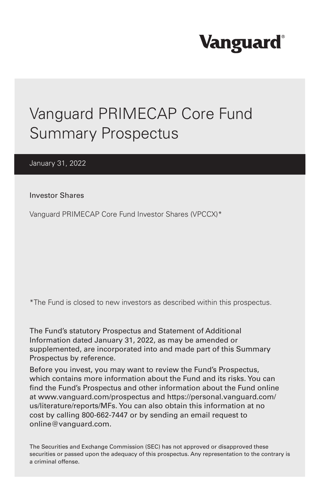# **Vanguard**

# Vanguard PRIMECAP Core Fund Summary Prospectus

January 31, 2022

Investor Shares

Vanguard PRIMECAP Core Fund Investor Shares (VPCCX)\*

\*The Fund is closed to new investors as described within this prospectus.

The Fund's statutory Prospectus and Statement of Additional Information dated January 31, 2022, as may be amended or supplemented, are incorporated into and made part of this Summary Prospectus by reference.

Before you invest, you may want to review the Fund's Prospectus, which contains more information about the Fund and its risks. You can find the Fund's Prospectus and other information about the Fund online at www.vanguard.com/prospectus and https://personal.vanguard.com/ us/literature/reports/MFs. You can also obtain this information at no cost by calling 800-662-7447 or by sending an email request to online@vanguard.com.

The Securities and Exchange Commission (SEC) has not approved or disapproved these securities or passed upon the adequacy of this prospectus. Any representation to the contrary is a criminal offense.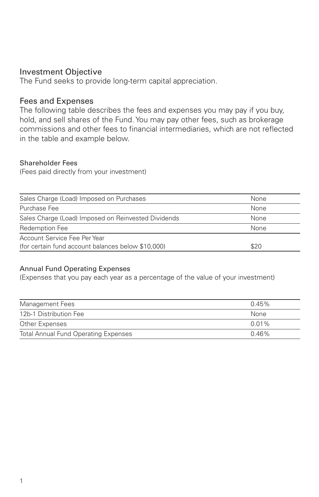#### Investment Objective

The Fund seeks to provide long-term capital appreciation.

#### Fees and Expenses

The following table describes the fees and expenses you may pay if you buy, hold, and sell shares of the Fund. You may pay other fees, such as brokerage commissions and other fees to financial intermediaries, which are not reflected in the table and example below.

#### Shareholder Fees

(Fees paid directly from your investment)

| Sales Charge (Load) Imposed on Purchases            | None |
|-----------------------------------------------------|------|
| Purchase Fee                                        | None |
| Sales Charge (Load) Imposed on Reinvested Dividends | None |
| Redemption Fee                                      | None |
| Account Service Fee Per Year                        |      |
| (for certain fund account balances below \$10,000)  | \$20 |

#### Annual Fund Operating Expenses

(Expenses that you pay each year as a percentage of the value of your investment)

| Management Fees                             | $0.45\%$ |
|---------------------------------------------|----------|
| 12b-1 Distribution Fee                      | None     |
| Other Expenses                              | $0.01\%$ |
| <b>Total Annual Fund Operating Expenses</b> | በ 46%    |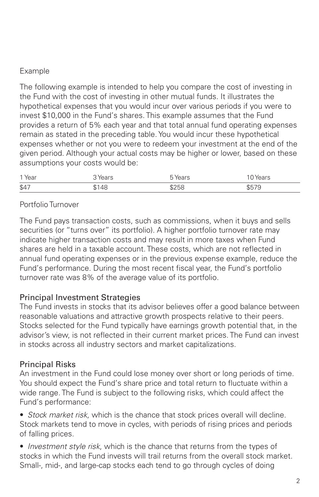# Example

The following example is intended to help you compare the cost of investing in the Fund with the cost of investing in other mutual funds. It illustrates the hypothetical expenses that you would incur over various periods if you were to invest \$10,000 in the Fund's shares. This example assumes that the Fund provides a return of 5% each year and that total annual fund operating expenses remain as stated in the preceding table. You would incur these hypothetical expenses whether or not you were to redeem your investment at the end of the given period. Although your actual costs may be higher or lower, based on these assumptions your costs would be:

| 1 Year | Years | Years |  |
|--------|-------|-------|--|
| \$47   | \$1A8 | \$258 |  |

### Portfolio Turnover

The Fund pays transaction costs, such as commissions, when it buys and sells securities (or "turns over" its portfolio). A higher portfolio turnover rate may indicate higher transaction costs and may result in more taxes when Fund shares are held in a taxable account. These costs, which are not reflected in annual fund operating expenses or in the previous expense example, reduce the Fund's performance. During the most recent fiscal year, the Fund's portfolio turnover rate was 8% of the average value of its portfolio.

#### Principal Investment Strategies

The Fund invests in stocks that its advisor believes offer a good balance between reasonable valuations and attractive growth prospects relative to their peers. Stocks selected for the Fund typically have earnings growth potential that, in the advisor's view, is not reflected in their current market prices. The Fund can invest in stocks across all industry sectors and market capitalizations.

# Principal Risks

An investment in the Fund could lose money over short or long periods of time. You should expect the Fund's share price and total return to fluctuate within a wide range. The Fund is subject to the following risks, which could affect the Fund's performance:

• *Stock market risk*, which is the chance that stock prices overall will decline. Stock markets tend to move in cycles, with periods of rising prices and periods of falling prices.

• *Investment style risk*, which is the chance that returns from the types of stocks in which the Fund invests will trail returns from the overall stock market. Small-, mid-, and large-cap stocks each tend to go through cycles of doing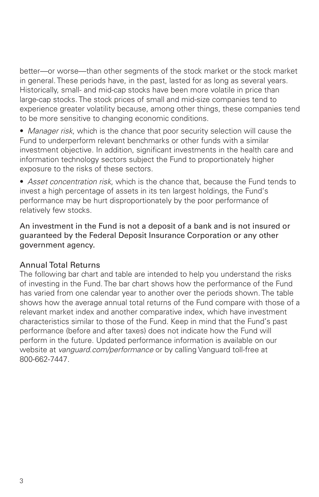better—or worse—than other segments of the stock market or the stock market in general. These periods have, in the past, lasted for as long as several years. Historically, small- and mid-cap stocks have been more volatile in price than large-cap stocks. The stock prices of small and mid-size companies tend to experience greater volatility because, among other things, these companies tend to be more sensitive to changing economic conditions.

- *Manager risk*, which is the chance that poor security selection will cause the Fund to underperform relevant benchmarks or other funds with a similar investment objective. In addition, significant investments in the health care and information technology sectors subject the Fund to proportionately higher exposure to the risks of these sectors.
- *Asset concentration risk*, which is the chance that, because the Fund tends to invest a high percentage of assets in its ten largest holdings, the Fund's performance may be hurt disproportionately by the poor performance of relatively few stocks.

An investment in the Fund is not a deposit of a bank and is not insured or guaranteed by the Federal Deposit Insurance Corporation or any other government agency.

# Annual Total Returns

The following bar chart and table are intended to help you understand the risks of investing in the Fund. The bar chart shows how the performance of the Fund has varied from one calendar year to another over the periods shown. The table shows how the average annual total returns of the Fund compare with those of a relevant market index and another comparative index, which have investment characteristics similar to those of the Fund. Keep in mind that the Fund's past performance (before and after taxes) does not indicate how the Fund will perform in the future. Updated performance information is available on our website at *vanguard.com/performance* or by calling Vanguard toll-free at 800-662-7447.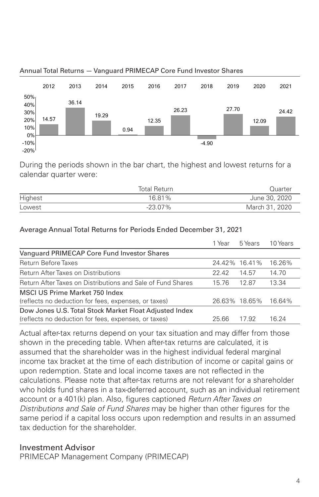

Annual Total Returns — Vanguard PRIMECAP Core Fund Investor Shares

During the periods shown in the bar chart, the highest and lowest returns for a calendar quarter were:

|         | <b>Total Return</b> | Quarter        |
|---------|---------------------|----------------|
| Highest | 16.81%              | June 30, 2020  |
| Lowest  | $-23.07\%$          | March 31, 2020 |

#### Average Annual Total Returns for Periods Ended December 31, 2021

|                                                             | 1 Year | 5 Years       | 10 Years |
|-------------------------------------------------------------|--------|---------------|----------|
| Vanguard PRIMECAP Core Fund Investor Shares                 |        |               |          |
| Return Before Taxes                                         |        | 24.42% 16.41% | 16.26%   |
| <b>Return After Taxes on Distributions</b>                  | 22.42  | 14.57         | 14.70    |
| Return After Taxes on Distributions and Sale of Fund Shares | 1576   | 1287          | 13.34    |
| MSCI US Prime Market 750 Index                              |        |               |          |
| (reflects no deduction for fees, expenses, or taxes)        |        | 26.63% 18.65% | 16.64%   |
| Dow Jones U.S. Total Stock Market Float Adjusted Index      |        |               |          |
| (reflects no deduction for fees, expenses, or taxes)        | 25.66  | 17.92         | 16.24    |

Actual after-tax returns depend on your tax situation and may differ from those shown in the preceding table. When after-tax returns are calculated, it is assumed that the shareholder was in the highest individual federal marginal income tax bracket at the time of each distribution of income or capital gains or upon redemption. State and local income taxes are not reflected in the calculations. Please note that after-tax returns are not relevant for a shareholder who holds fund shares in a tax-deferred account, such as an individual retirement account or a 401(k) plan. Also, figures captioned *Return After Taxes on Distributions and Sale of Fund Shares* may be higher than other figures for the same period if a capital loss occurs upon redemption and results in an assumed tax deduction for the shareholder.

#### Investment Advisor

PRIMECAP Management Company (PRIMECAP)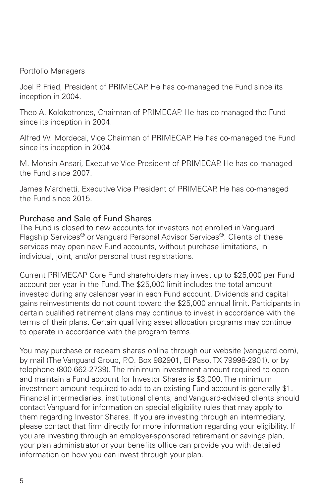Portfolio Managers

Joel P. Fried, President of PRIMECAP. He has co-managed the Fund since its inception in 2004.

Theo A. Kolokotrones, Chairman of PRIMECAP. He has co-managed the Fund since its inception in 2004.

Alfred W. Mordecai, Vice Chairman of PRIMECAP. He has co-managed the Fund since its inception in 2004.

M. Mohsin Ansari, Executive Vice President of PRIMECAP. He has co-managed the Fund since 2007.

James Marchetti, Executive Vice President of PRIMECAP. He has co-managed the Fund since 2015.

### Purchase and Sale of Fund Shares

The Fund is closed to new accounts for investors not enrolled in Vanguard Flagship Services® or Vanguard Personal Advisor Services®. Clients of these services may open new Fund accounts, without purchase limitations, in individual, joint, and/or personal trust registrations.

Current PRIMECAP Core Fund shareholders may invest up to \$25,000 per Fund account per year in the Fund. The \$25,000 limit includes the total amount invested during any calendar year in each Fund account. Dividends and capital gains reinvestments do not count toward the \$25,000 annual limit. Participants in certain qualified retirement plans may continue to invest in accordance with the terms of their plans. Certain qualifying asset allocation programs may continue to operate in accordance with the program terms.

You may purchase or redeem shares online through our website (vanguard.com), by mail (The Vanguard Group, P.O. Box 982901, El Paso, TX 79998-2901), or by telephone (800-662-2739). The minimum investment amount required to open and maintain a Fund account for Investor Shares is \$3,000. The minimum investment amount required to add to an existing Fund account is generally \$1. Financial intermediaries, institutional clients, and Vanguard-advised clients should contact Vanguard for information on special eligibility rules that may apply to them regarding Investor Shares. If you are investing through an intermediary, please contact that firm directly for more information regarding your eligibility. If you are investing through an employer-sponsored retirement or savings plan, your plan administrator or your benefits office can provide you with detailed information on how you can invest through your plan.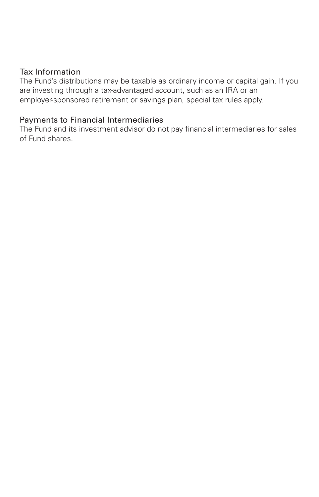### Tax Information

The Fund's distributions may be taxable as ordinary income or capital gain. If you are investing through a tax-advantaged account, such as an IRA or an employer-sponsored retirement or savings plan, special tax rules apply.

### Payments to Financial Intermediaries

The Fund and its investment advisor do not pay financial intermediaries for sales of Fund shares.